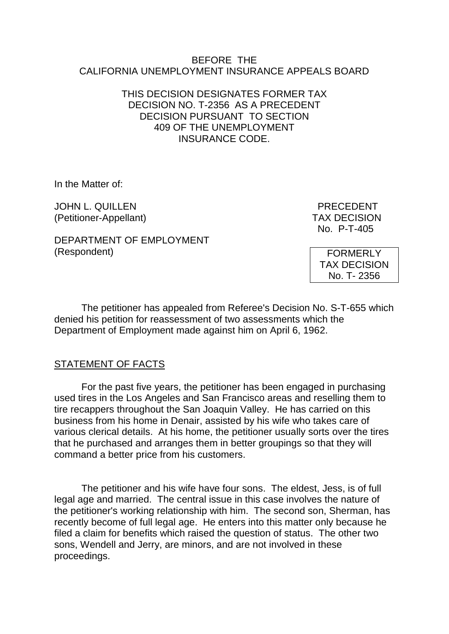#### BEFORE THE CALIFORNIA UNEMPLOYMENT INSURANCE APPEALS BOARD

#### THIS DECISION DESIGNATES FORMER TAX DECISION NO. T-2356 AS A PRECEDENT DECISION PURSUANT TO SECTION 409 OF THE UNEMPLOYMENT INSURANCE CODE.

In the Matter of:

JOHN L. QUILLEN PRECEDENT (Petitioner-Appellant) TAX DECISION

DEPARTMENT OF EMPLOYMENT (Respondent)

No. P-T-405

FORMERLY TAX DECISION No. T- 2356

The petitioner has appealed from Referee's Decision No. S-T-655 which denied his petition for reassessment of two assessments which the Department of Employment made against him on April 6, 1962.

# STATEMENT OF FACTS

For the past five years, the petitioner has been engaged in purchasing used tires in the Los Angeles and San Francisco areas and reselling them to tire recappers throughout the San Joaquin Valley. He has carried on this business from his home in Denair, assisted by his wife who takes care of various clerical details. At his home, the petitioner usually sorts over the tires that he purchased and arranges them in better groupings so that they will command a better price from his customers.

The petitioner and his wife have four sons. The eldest, Jess, is of full legal age and married. The central issue in this case involves the nature of the petitioner's working relationship with him. The second son, Sherman, has recently become of full legal age. He enters into this matter only because he filed a claim for benefits which raised the question of status. The other two sons, Wendell and Jerry, are minors, and are not involved in these proceedings.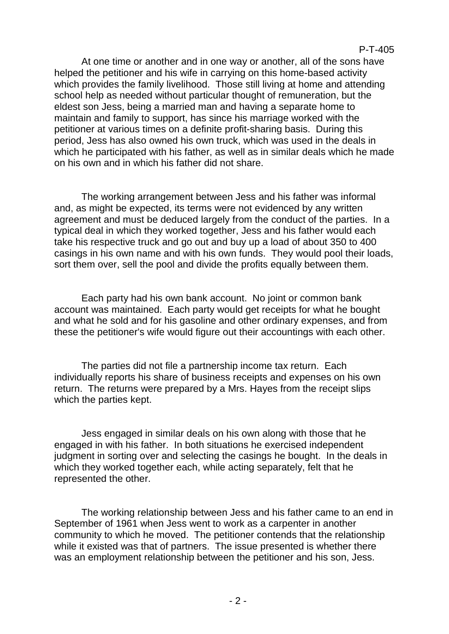At one time or another and in one way or another, all of the sons have helped the petitioner and his wife in carrying on this home-based activity which provides the family livelihood. Those still living at home and attending school help as needed without particular thought of remuneration, but the eldest son Jess, being a married man and having a separate home to maintain and family to support, has since his marriage worked with the petitioner at various times on a definite profit-sharing basis. During this period, Jess has also owned his own truck, which was used in the deals in which he participated with his father, as well as in similar deals which he made on his own and in which his father did not share.

The working arrangement between Jess and his father was informal and, as might be expected, its terms were not evidenced by any written agreement and must be deduced largely from the conduct of the parties. In a typical deal in which they worked together, Jess and his father would each take his respective truck and go out and buy up a load of about 350 to 400 casings in his own name and with his own funds. They would pool their loads, sort them over, sell the pool and divide the profits equally between them.

Each party had his own bank account. No joint or common bank account was maintained. Each party would get receipts for what he bought and what he sold and for his gasoline and other ordinary expenses, and from these the petitioner's wife would figure out their accountings with each other.

The parties did not file a partnership income tax return. Each individually reports his share of business receipts and expenses on his own return. The returns were prepared by a Mrs. Hayes from the receipt slips which the parties kept.

Jess engaged in similar deals on his own along with those that he engaged in with his father. In both situations he exercised independent judgment in sorting over and selecting the casings he bought. In the deals in which they worked together each, while acting separately, felt that he represented the other.

The working relationship between Jess and his father came to an end in September of 1961 when Jess went to work as a carpenter in another community to which he moved. The petitioner contends that the relationship while it existed was that of partners. The issue presented is whether there was an employment relationship between the petitioner and his son, Jess.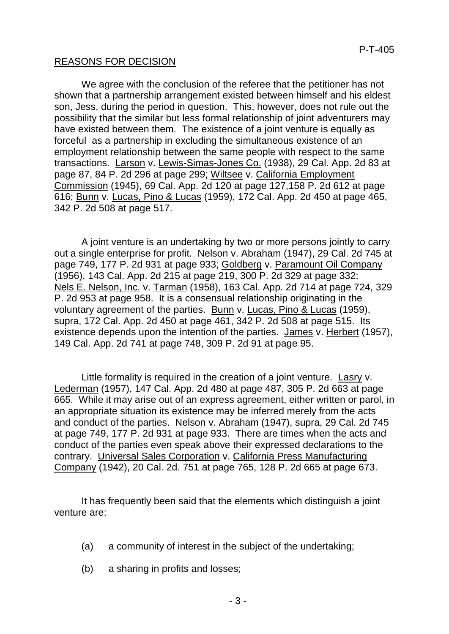## REASONS FOR DECISION

We agree with the conclusion of the referee that the petitioner has not shown that a partnership arrangement existed between himself and his eldest son, Jess, during the period in question. This, however, does not rule out the possibility that the similar but less formal relationship of joint adventurers may have existed between them. The existence of a joint venture is equally as forceful as a partnership in excluding the simultaneous existence of an employment relationship between the same people with respect to the same transactions. Larson v. Lewis-Simas-Jones Co. (1938), 29 Cal. App. 2d 83 at page 87, 84 P. 2d 296 at page 299; Wiltsee v. California Employment Commission (1945), 69 Cal. App. 2d 120 at page 127,158 P. 2d 612 at page 616; Bunn v. Lucas, Pino & Lucas (1959), 172 Cal. App. 2d 450 at page 465, 342 P. 2d 508 at page 517.

A joint venture is an undertaking by two or more persons jointly to carry out a single enterprise for profit. Nelson v. Abraham (1947), 29 Cal. 2d 745 at page 749, 177 P. 2d 931 at page 933; Goldberg v. Paramount Oil Company (1956), 143 Cal. App. 2d 215 at page 219, 300 P. 2d 329 at page 332; Nels E. Nelson, Inc. v. Tarman (1958), 163 Cal. App. 2d 714 at page 724, 329 P. 2d 953 at page 958. It is a consensual relationship originating in the voluntary agreement of the parties. Bunn v. Lucas, Pino & Lucas (1959), supra, 172 Cal. App. 2d 450 at page 461, 342 P. 2d 508 at page 515. Its existence depends upon the intention of the parties. James v. Herbert (1957), 149 Cal. App. 2d 741 at page 748, 309 P. 2d 91 at page 95.

Little formality is required in the creation of a joint venture. Lasry v. Lederman (1957), 147 Cal. App. 2d 480 at page 487, 305 P. 2d 663 at page 665. While it may arise out of an express agreement, either written or parol, in an appropriate situation its existence may be inferred merely from the acts and conduct of the parties. Nelson v. Abraham (1947), supra, 29 Cal. 2d 745 at page 749, 177 P. 2d 931 at page 933. There are times when the acts and conduct of the parties even speak above their expressed declarations to the contrary. Universal Sales Corporation v. California Press Manufacturing Company (1942), 20 Cal. 2d. 751 at page 765, 128 P. 2d 665 at page 673.

It has frequently been said that the elements which distinguish a joint venture are:

- (a) a community of interest in the subject of the undertaking;
- (b) a sharing in profits and losses;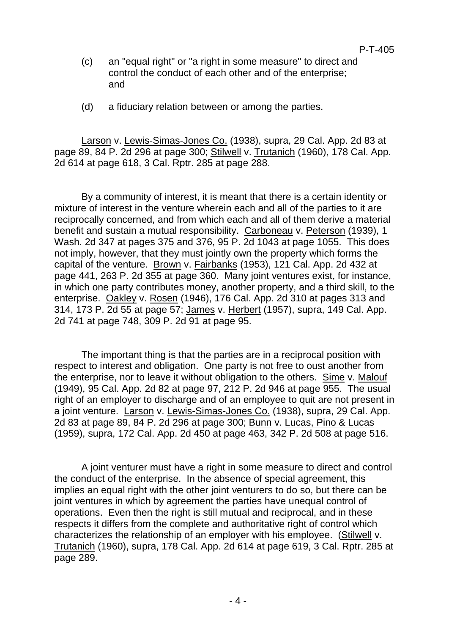- (c) an "equal right" or "a right in some measure" to direct and control the conduct of each other and of the enterprise; and
- (d) a fiduciary relation between or among the parties.

Larson v. Lewis-Simas-Jones Co. (1938), supra, 29 Cal. App. 2d 83 at page 89, 84 P. 2d 296 at page 300; Stilwell v. Trutanich (1960), 178 Cal. App. 2d 614 at page 618, 3 Cal. Rptr. 285 at page 288.

By a community of interest, it is meant that there is a certain identity or mixture of interest in the venture wherein each and all of the parties to it are reciprocally concerned, and from which each and all of them derive a material benefit and sustain a mutual responsibility. Carboneau v. Peterson (1939), 1 Wash. 2d 347 at pages 375 and 376, 95 P. 2d 1043 at page 1055. This does not imply, however, that they must jointly own the property which forms the capital of the venture. Brown v. Fairbanks (1953), 121 Cal. App. 2d 432 at page 441, 263 P. 2d 355 at page 360. Many joint ventures exist, for instance, in which one party contributes money, another property, and a third skill, to the enterprise. Oakley v. Rosen (1946), 176 Cal. App. 2d 310 at pages 313 and 314, 173 P. 2d 55 at page 57; James v. Herbert (1957), supra, 149 Cal. App. 2d 741 at page 748, 309 P. 2d 91 at page 95.

The important thing is that the parties are in a reciprocal position with respect to interest and obligation. One party is not free to oust another from the enterprise, nor to leave it without obligation to the others. Sime v. Malouf (1949), 95 Cal. App. 2d 82 at page 97, 212 P. 2d 946 at page 955. The usual right of an employer to discharge and of an employee to quit are not present in a joint venture. Larson v. Lewis-Simas-Jones Co. (1938), supra, 29 Cal. App. 2d 83 at page 89, 84 P. 2d 296 at page 300; Bunn v. Lucas, Pino & Lucas (1959), supra, 172 Cal. App. 2d 450 at page 463, 342 P. 2d 508 at page 516.

A joint venturer must have a right in some measure to direct and control the conduct of the enterprise. In the absence of special agreement, this implies an equal right with the other joint venturers to do so, but there can be joint ventures in which by agreement the parties have unequal control of operations. Even then the right is still mutual and reciprocal, and in these respects it differs from the complete and authoritative right of control which characterizes the relationship of an employer with his employee. (Stilwell v. Trutanich (1960), supra, 178 Cal. App. 2d 614 at page 619, 3 Cal. Rptr. 285 at page 289.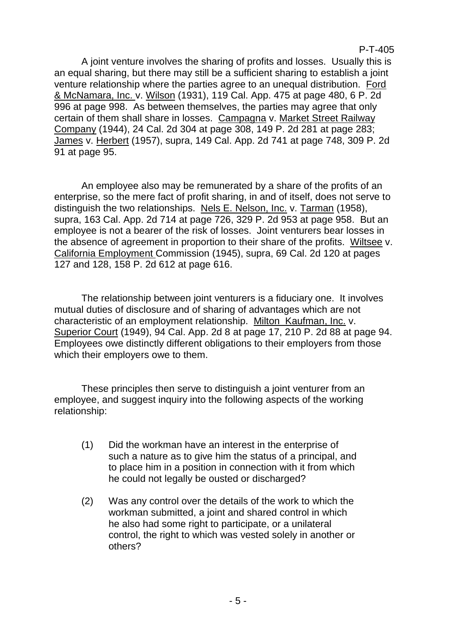P-T-405

A joint venture involves the sharing of profits and losses. Usually this is an equal sharing, but there may still be a sufficient sharing to establish a joint venture relationship where the parties agree to an unequal distribution. Ford & McNamara, Inc. v. Wilson (1931), 119 Cal. App. 475 at page 480, 6 P. 2d 996 at page 998. As between themselves, the parties may agree that only certain of them shall share in losses. Campagna v. Market Street Railway Company (1944), 24 Cal. 2d 304 at page 308, 149 P. 2d 281 at page 283; James v. Herbert (1957), supra, 149 Cal. App. 2d 741 at page 748, 309 P. 2d 91 at page 95.

An employee also may be remunerated by a share of the profits of an enterprise, so the mere fact of profit sharing, in and of itself, does not serve to distinguish the two relationships. Nels E. Nelson, Inc. v. Tarman (1958), supra, 163 Cal. App. 2d 714 at page 726, 329 P. 2d 953 at page 958. But an employee is not a bearer of the risk of losses. Joint venturers bear losses in the absence of agreement in proportion to their share of the profits. Wiltsee v. California Employment Commission (1945), supra, 69 Cal. 2d 120 at pages 127 and 128, 158 P. 2d 612 at page 616.

The relationship between joint venturers is a fiduciary one. It involves mutual duties of disclosure and of sharing of advantages which are not characteristic of an employment relationship. Milton Kaufman, Inc. v. Superior Court (1949), 94 Cal. App. 2d 8 at page 17, 210 P. 2d 88 at page 94. Employees owe distinctly different obligations to their employers from those which their employers owe to them.

These principles then serve to distinguish a joint venturer from an employee, and suggest inquiry into the following aspects of the working relationship:

- (1) Did the workman have an interest in the enterprise of such a nature as to give him the status of a principal, and to place him in a position in connection with it from which he could not legally be ousted or discharged?
- (2) Was any control over the details of the work to which the workman submitted, a joint and shared control in which he also had some right to participate, or a unilateral control, the right to which was vested solely in another or others?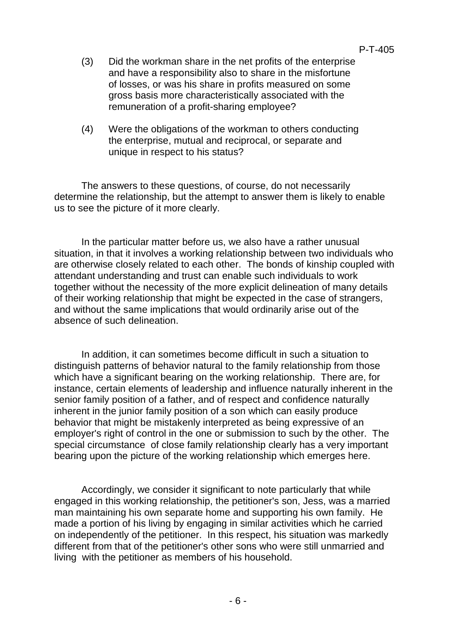#### P-T-405

- (3) Did the workman share in the net profits of the enterprise and have a responsibility also to share in the misfortune of losses, or was his share in profits measured on some gross basis more characteristically associated with the remuneration of a profit-sharing employee?
- (4) Were the obligations of the workman to others conducting the enterprise, mutual and reciprocal, or separate and unique in respect to his status?

The answers to these questions, of course, do not necessarily determine the relationship, but the attempt to answer them is likely to enable us to see the picture of it more clearly.

In the particular matter before us, we also have a rather unusual situation, in that it involves a working relationship between two individuals who are otherwise closely related to each other. The bonds of kinship coupled with attendant understanding and trust can enable such individuals to work together without the necessity of the more explicit delineation of many details of their working relationship that might be expected in the case of strangers, and without the same implications that would ordinarily arise out of the absence of such delineation.

In addition, it can sometimes become difficult in such a situation to distinguish patterns of behavior natural to the family relationship from those which have a significant bearing on the working relationship. There are, for instance, certain elements of leadership and influence naturally inherent in the senior family position of a father, and of respect and confidence naturally inherent in the junior family position of a son which can easily produce behavior that might be mistakenly interpreted as being expressive of an employer's right of control in the one or submission to such by the other. The special circumstance of close family relationship clearly has a very important bearing upon the picture of the working relationship which emerges here.

Accordingly, we consider it significant to note particularly that while engaged in this working relationship, the petitioner's son, Jess, was a married man maintaining his own separate home and supporting his own family. He made a portion of his living by engaging in similar activities which he carried on independently of the petitioner. In this respect, his situation was markedly different from that of the petitioner's other sons who were still unmarried and living with the petitioner as members of his household.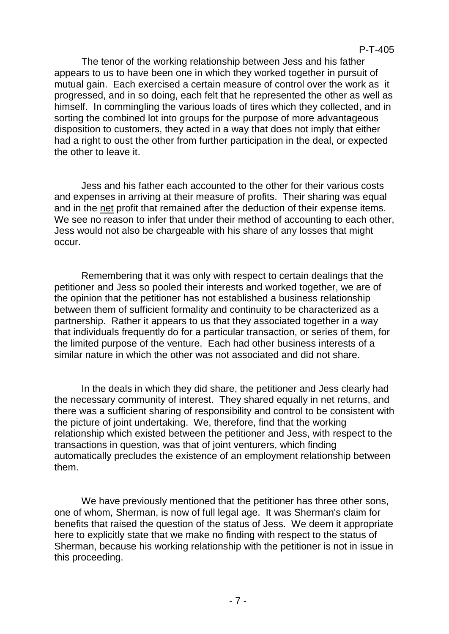The tenor of the working relationship between Jess and his father appears to us to have been one in which they worked together in pursuit of mutual gain. Each exercised a certain measure of control over the work as it progressed, and in so doing, each felt that he represented the other as well as himself. In commingling the various loads of tires which they collected, and in sorting the combined lot into groups for the purpose of more advantageous disposition to customers, they acted in a way that does not imply that either had a right to oust the other from further participation in the deal, or expected the other to leave it.

Jess and his father each accounted to the other for their various costs and expenses in arriving at their measure of profits. Their sharing was equal and in the net profit that remained after the deduction of their expense items. We see no reason to infer that under their method of accounting to each other, Jess would not also be chargeable with his share of any losses that might occur.

Remembering that it was only with respect to certain dealings that the petitioner and Jess so pooled their interests and worked together, we are of the opinion that the petitioner has not established a business relationship between them of sufficient formality and continuity to be characterized as a partnership. Rather it appears to us that they associated together in a way that individuals frequently do for a particular transaction, or series of them, for the limited purpose of the venture. Each had other business interests of a similar nature in which the other was not associated and did not share.

In the deals in which they did share, the petitioner and Jess clearly had the necessary community of interest. They shared equally in net returns, and there was a sufficient sharing of responsibility and control to be consistent with the picture of joint undertaking. We, therefore, find that the working relationship which existed between the petitioner and Jess, with respect to the transactions in question, was that of joint venturers, which finding automatically precludes the existence of an employment relationship between them.

We have previously mentioned that the petitioner has three other sons, one of whom, Sherman, is now of full legal age. It was Sherman's claim for benefits that raised the question of the status of Jess. We deem it appropriate here to explicitly state that we make no finding with respect to the status of Sherman, because his working relationship with the petitioner is not in issue in this proceeding.